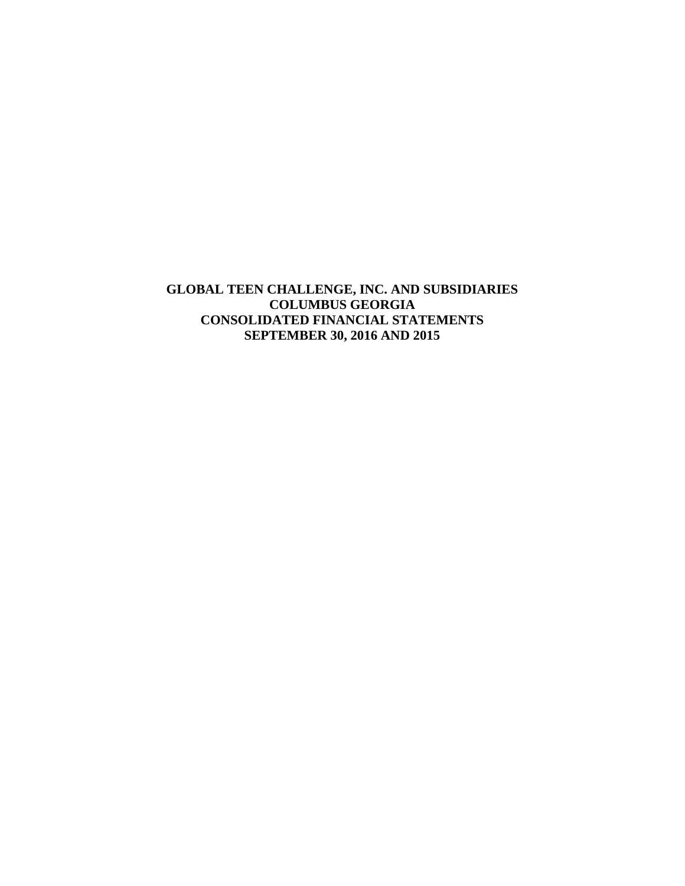**GLOBAL TEEN CHALLENGE, INC. AND SUBSIDIARIES COLUMBUS GEORGIA CONSOLIDATED FINANCIAL STATEMENTS SEPTEMBER 30, 2016 AND 2015**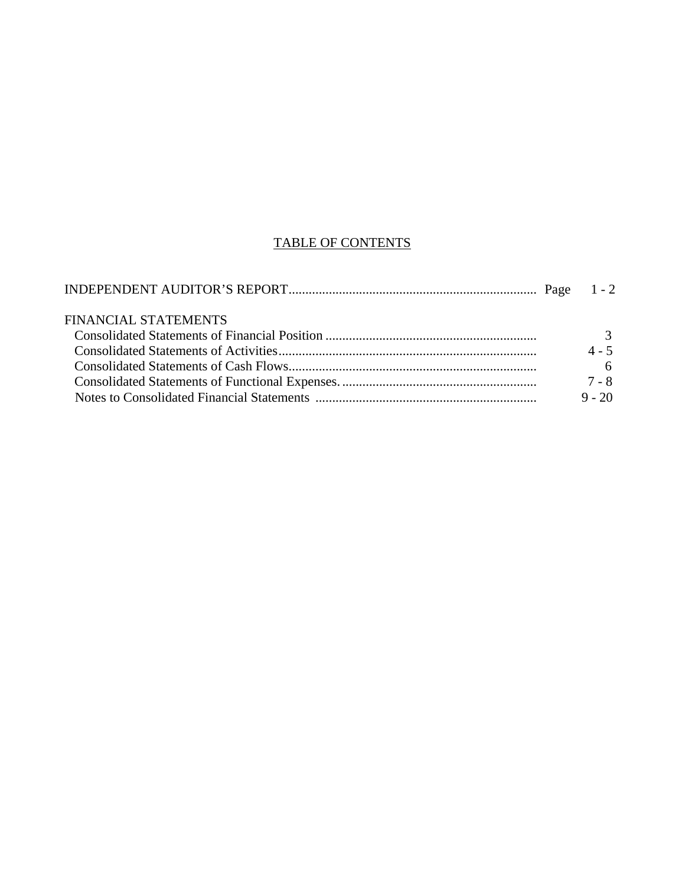# TABLE OF CONTENTS

| <b>FINANCIAL STATEMENTS</b> |                |
|-----------------------------|----------------|
|                             | $\overline{3}$ |
|                             | $4 - 5$        |
|                             | $\overline{6}$ |
|                             | $7 - 8$        |
|                             | $9 - 20$       |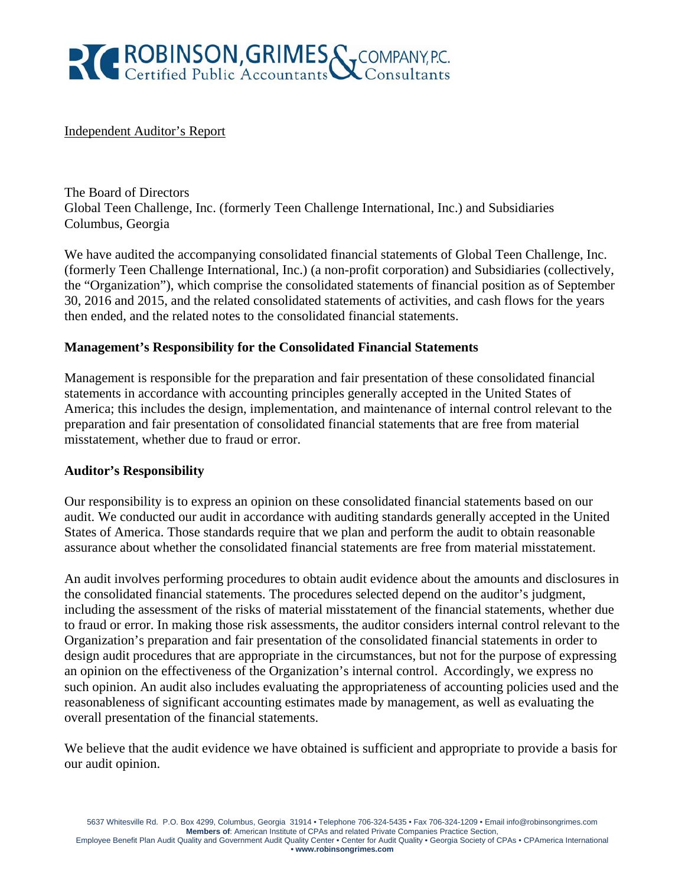

Independent Auditor's Report

The Board of Directors Global Teen Challenge, Inc. (formerly Teen Challenge International, Inc.) and Subsidiaries Columbus, Georgia

We have audited the accompanying consolidated financial statements of Global Teen Challenge, Inc. (formerly Teen Challenge International, Inc.) (a non-profit corporation) and Subsidiaries (collectively, the "Organization"), which comprise the consolidated statements of financial position as of September 30, 2016 and 2015, and the related consolidated statements of activities, and cash flows for the years then ended, and the related notes to the consolidated financial statements.

## **Management's Responsibility for the Consolidated Financial Statements**

Management is responsible for the preparation and fair presentation of these consolidated financial statements in accordance with accounting principles generally accepted in the United States of America; this includes the design, implementation, and maintenance of internal control relevant to the preparation and fair presentation of consolidated financial statements that are free from material misstatement, whether due to fraud or error.

### **Auditor's Responsibility**

Our responsibility is to express an opinion on these consolidated financial statements based on our audit. We conducted our audit in accordance with auditing standards generally accepted in the United States of America. Those standards require that we plan and perform the audit to obtain reasonable assurance about whether the consolidated financial statements are free from material misstatement.

An audit involves performing procedures to obtain audit evidence about the amounts and disclosures in the consolidated financial statements. The procedures selected depend on the auditor's judgment, including the assessment of the risks of material misstatement of the financial statements, whether due to fraud or error. In making those risk assessments, the auditor considers internal control relevant to the Organization's preparation and fair presentation of the consolidated financial statements in order to design audit procedures that are appropriate in the circumstances, but not for the purpose of expressing an opinion on the effectiveness of the Organization's internal control. Accordingly, we express no such opinion. An audit also includes evaluating the appropriateness of accounting policies used and the reasonableness of significant accounting estimates made by management, as well as evaluating the overall presentation of the financial statements.

We believe that the audit evidence we have obtained is sufficient and appropriate to provide a basis for our audit opinion.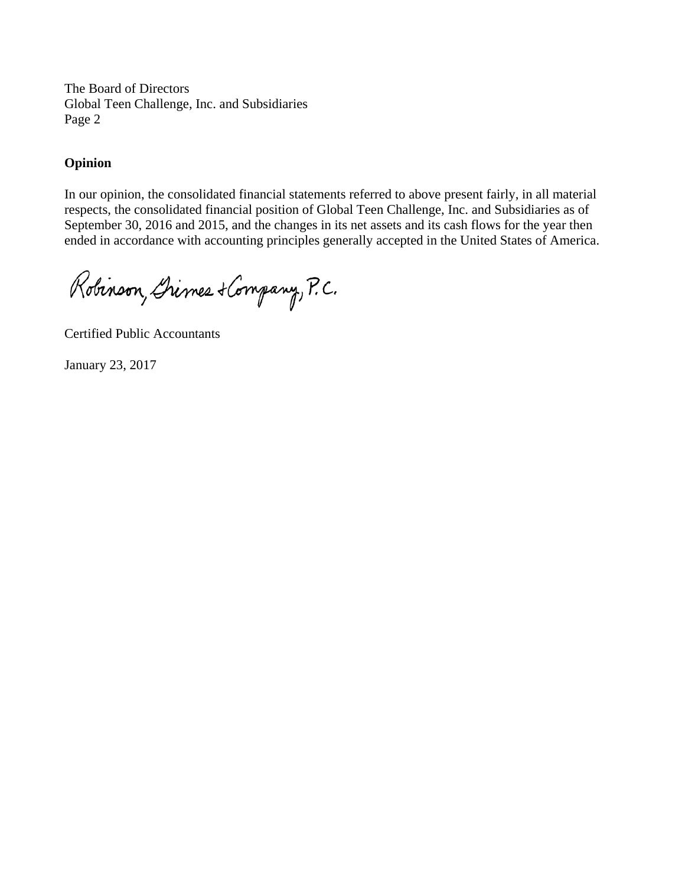The Board of Directors Global Teen Challenge, Inc. and Subsidiaries Page 2

# **Opinion**

In our opinion, the consolidated financial statements referred to above present fairly, in all material respects, the consolidated financial position of Global Teen Challenge, Inc. and Subsidiaries as of September 30, 2016 and 2015, and the changes in its net assets and its cash flows for the year then ended in accordance with accounting principles generally accepted in the United States of America.

Robinson, Grimes + Company, P.C.

Certified Public Accountants

January 23, 2017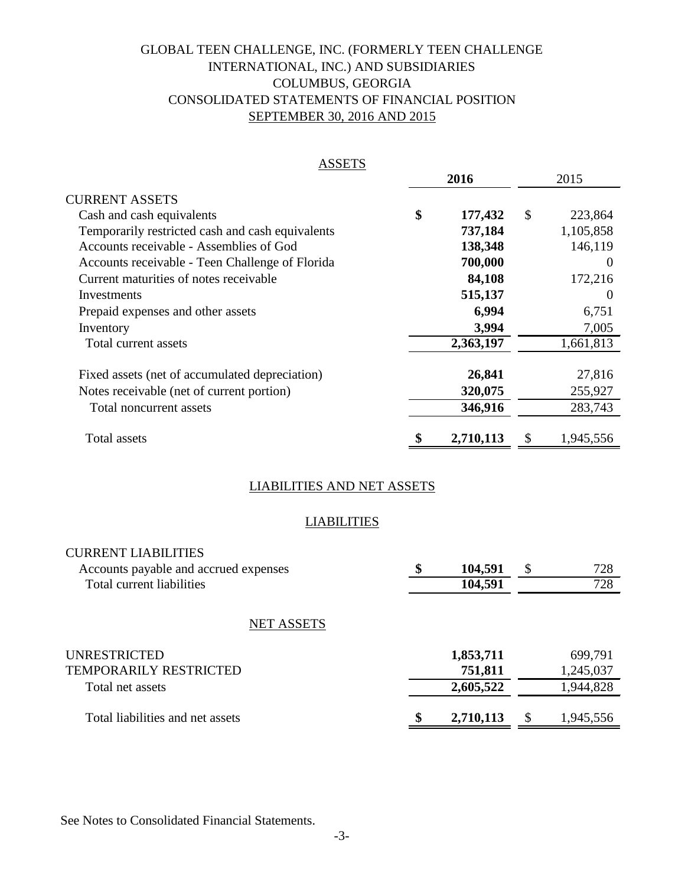# CONSOLIDATED STATEMENTS OF FINANCIAL POSITION COLUMBUS, GEORGIA GLOBAL TEEN CHALLENGE, INC. (FORMERLY TEEN CHALLENGE SEPTEMBER 30, 2016 AND 2015 INTERNATIONAL, INC.) AND SUBSIDIARIES

| <b>ASSETS</b>                                    |               |      |           |  |
|--------------------------------------------------|---------------|------|-----------|--|
|                                                  | 2016          | 2015 |           |  |
| <b>CURRENT ASSETS</b>                            |               |      |           |  |
| Cash and cash equivalents                        | \$<br>177,432 | \$   | 223,864   |  |
| Temporarily restricted cash and cash equivalents | 737,184       |      | 1,105,858 |  |
| Accounts receivable - Assemblies of God          | 138,348       |      | 146,119   |  |
| Accounts receivable - Teen Challenge of Florida  | 700,000       |      | $\theta$  |  |
| Current maturities of notes receivable           | 84,108        |      | 172,216   |  |
| Investments                                      | 515,137       |      | $\theta$  |  |
| Prepaid expenses and other assets                | 6,994         |      | 6,751     |  |
| Inventory                                        | 3,994         |      | 7,005     |  |
| Total current assets                             | 2,363,197     |      | 1,661,813 |  |
| Fixed assets (net of accumulated depreciation)   | 26,841        |      | 27,816    |  |
| Notes receivable (net of current portion)        | 320,075       |      | 255,927   |  |
| Total noncurrent assets                          | 346,916       |      | 283,743   |  |
| <b>Total assets</b>                              | 2,710,113     |      | 1,945,556 |  |

# LIABILITIES AND NET ASSETS

# **LIABILITIES**

| <b>CURRENT LIABILITIES</b><br>Accounts payable and accrued expenses | \$<br>104,591 | \$<br>728       |
|---------------------------------------------------------------------|---------------|-----------------|
| Total current liabilities                                           | 104,591       | 728             |
| <b>NET ASSETS</b>                                                   |               |                 |
|                                                                     |               |                 |
| <b>UNRESTRICTED</b>                                                 | 1,853,711     | 699,791         |
| <b>TEMPORARILY RESTRICTED</b>                                       | 751,811       | 1,245,037       |
| Total net assets                                                    | 2,605,522     | 1,944,828       |
| Total liabilities and net assets                                    | 2,710,113     | \$<br>1,945,556 |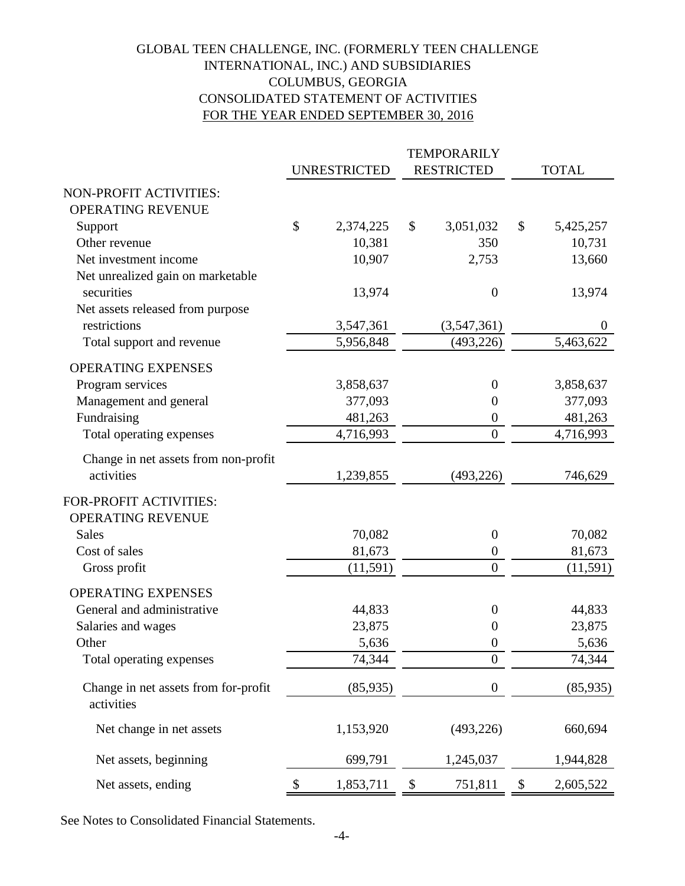# GLOBAL TEEN CHALLENGE, INC. (FORMERLY TEEN CHALLENGE COLUMBUS, GEORGIA CONSOLIDATED STATEMENT OF ACTIVITIES FOR THE YEAR ENDED SEPTEMBER 30, 2016 INTERNATIONAL, INC.) AND SUBSIDIARIES

|                                      | <b>TEMPORARILY</b><br><b>RESTRICTED</b><br><b>UNRESTRICTED</b> |           |    |                  |      |              |
|--------------------------------------|----------------------------------------------------------------|-----------|----|------------------|------|--------------|
|                                      |                                                                |           |    |                  |      | <b>TOTAL</b> |
| NON-PROFIT ACTIVITIES:               |                                                                |           |    |                  |      |              |
| OPERATING REVENUE                    |                                                                |           |    |                  |      |              |
| Support                              | $\mathcal{S}$                                                  | 2,374,225 | \$ | 3,051,032        | \$   | 5,425,257    |
| Other revenue                        |                                                                | 10,381    |    | 350              |      | 10,731       |
| Net investment income                |                                                                | 10,907    |    | 2,753            |      | 13,660       |
| Net unrealized gain on marketable    |                                                                |           |    |                  |      |              |
| securities                           |                                                                | 13,974    |    | $\boldsymbol{0}$ |      | 13,974       |
| Net assets released from purpose     |                                                                |           |    |                  |      |              |
| restrictions                         |                                                                | 3,547,361 |    | (3,547,361)      |      | $\theta$     |
| Total support and revenue            |                                                                | 5,956,848 |    | (493, 226)       |      | 5,463,622    |
| <b>OPERATING EXPENSES</b>            |                                                                |           |    |                  |      |              |
| Program services                     |                                                                | 3,858,637 |    | $\boldsymbol{0}$ |      | 3,858,637    |
| Management and general               |                                                                | 377,093   |    | $\boldsymbol{0}$ |      | 377,093      |
| Fundraising                          |                                                                | 481,263   |    | $\boldsymbol{0}$ |      | 481,263      |
| Total operating expenses             |                                                                | 4,716,993 |    | $\overline{0}$   |      | 4,716,993    |
| Change in net assets from non-profit |                                                                |           |    |                  |      |              |
| activities                           |                                                                | 1,239,855 |    | (493, 226)       |      | 746,629      |
|                                      |                                                                |           |    |                  |      |              |
| FOR-PROFIT ACTIVITIES:               |                                                                |           |    |                  |      |              |
| OPERATING REVENUE                    |                                                                |           |    |                  |      |              |
| <b>Sales</b>                         |                                                                | 70,082    |    | $\boldsymbol{0}$ |      | 70,082       |
| Cost of sales                        |                                                                | 81,673    |    | $\boldsymbol{0}$ |      | 81,673       |
| Gross profit                         |                                                                | (11, 591) |    | $\overline{0}$   |      | (11,591)     |
| <b>OPERATING EXPENSES</b>            |                                                                |           |    |                  |      |              |
| General and administrative           |                                                                | 44,833    |    | $\boldsymbol{0}$ |      | 44,833       |
| Salaries and wages                   |                                                                | 23,875    |    | $\boldsymbol{0}$ |      | 23,875       |
| Other                                |                                                                | 5,636     |    | $\boldsymbol{0}$ |      | 5,636        |
| Total operating expenses             |                                                                | 74,344    |    | $\boldsymbol{0}$ |      | 74,344       |
| Change in net assets from for-profit |                                                                |           |    | $\boldsymbol{0}$ |      |              |
| activities                           |                                                                | (85, 935) |    |                  |      | (85, 935)    |
| Net change in net assets             |                                                                | 1,153,920 |    | (493, 226)       |      | 660,694      |
| Net assets, beginning                |                                                                | 699,791   |    | 1,245,037        |      | 1,944,828    |
| Net assets, ending                   | \$                                                             | 1,853,711 | \$ | 751,811          | $\$$ | 2,605,522    |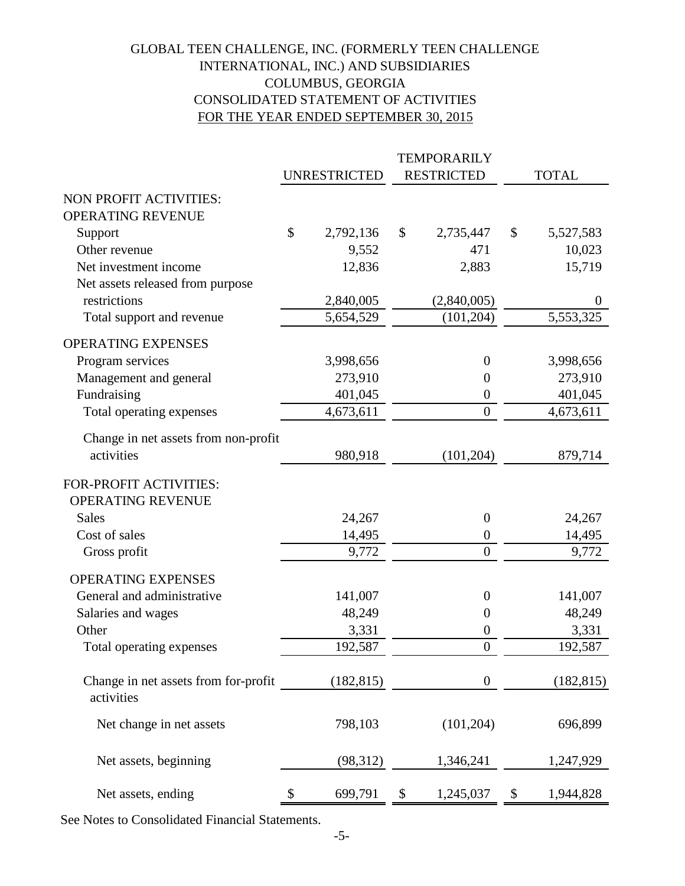# GLOBAL TEEN CHALLENGE, INC. (FORMERLY TEEN CHALLENGE COLUMBUS, GEORGIA CONSOLIDATED STATEMENT OF ACTIVITIES FOR THE YEAR ENDED SEPTEMBER 30, 2015 INTERNATIONAL, INC.) AND SUBSIDIARIES

|                                      |                     | <b>TEMPORARILY</b> |                 |
|--------------------------------------|---------------------|--------------------|-----------------|
|                                      | <b>UNRESTRICTED</b> | <b>RESTRICTED</b>  | <b>TOTAL</b>    |
| NON PROFIT ACTIVITIES:               |                     |                    |                 |
| OPERATING REVENUE                    |                     |                    |                 |
| Support                              | \$<br>2,792,136     | \$<br>2,735,447    | \$<br>5,527,583 |
| Other revenue                        | 9,552               | 471                | 10,023          |
| Net investment income                | 12,836              | 2,883              | 15,719          |
| Net assets released from purpose     |                     |                    |                 |
| restrictions                         | 2,840,005           | (2,840,005)        | $\theta$        |
| Total support and revenue            | 5,654,529           | (101, 204)         | 5,553,325       |
| <b>OPERATING EXPENSES</b>            |                     |                    |                 |
| Program services                     | 3,998,656           | $\theta$           | 3,998,656       |
| Management and general               | 273,910             | $\boldsymbol{0}$   | 273,910         |
| Fundraising                          | 401,045             | $\boldsymbol{0}$   | 401,045         |
| Total operating expenses             | 4,673,611           | $\overline{0}$     | 4,673,611       |
| Change in net assets from non-profit |                     |                    |                 |
| activities                           | 980,918             | (101, 204)         | 879,714         |
|                                      |                     |                    |                 |
| FOR-PROFIT ACTIVITIES:               |                     |                    |                 |
| OPERATING REVENUE                    |                     |                    |                 |
| <b>Sales</b>                         | 24,267              | $\boldsymbol{0}$   | 24,267          |
| Cost of sales                        | 14,495              | $\boldsymbol{0}$   | 14,495          |
| Gross profit                         | 9,772               | $\overline{0}$     | 9,772           |
| OPERATING EXPENSES                   |                     |                    |                 |
| General and administrative           | 141,007             | $\boldsymbol{0}$   | 141,007         |
| Salaries and wages                   | 48,249              | $\boldsymbol{0}$   | 48,249          |
| Other                                | 3,331               | $\boldsymbol{0}$   | 3,331           |
| Total operating expenses             | 192,587             | $\overline{0}$     | 192,587         |
|                                      |                     |                    |                 |
| Change in net assets from for-profit | (182, 815)          | $\boldsymbol{0}$   | (182, 815)      |
| activities                           |                     |                    |                 |
| Net change in net assets             | 798,103             | (101, 204)         | 696,899         |
|                                      |                     |                    |                 |
| Net assets, beginning                | (98, 312)           | 1,346,241          | 1,247,929       |
| Net assets, ending                   | \$<br>699,791       | \$<br>1,245,037    | \$<br>1,944,828 |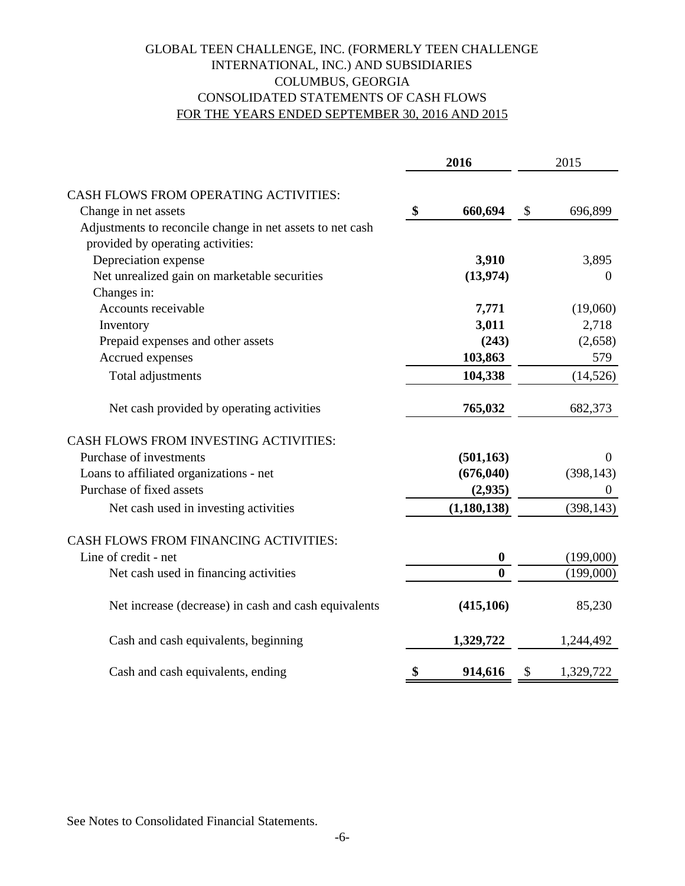# FOR THE YEARS ENDED SEPTEMBER 30, 2016 AND 2015 CONSOLIDATED STATEMENTS OF CASH FLOWS COLUMBUS, GEORGIA GLOBAL TEEN CHALLENGE, INC. (FORMERLY TEEN CHALLENGE INTERNATIONAL, INC.) AND SUBSIDIARIES

|                                                           | 2016 |                  | 2015                      |                  |
|-----------------------------------------------------------|------|------------------|---------------------------|------------------|
| CASH FLOWS FROM OPERATING ACTIVITIES:                     |      |                  |                           |                  |
| Change in net assets                                      | \$   | 660,694          | $\boldsymbol{\mathsf{S}}$ | 696,899          |
| Adjustments to reconcile change in net assets to net cash |      |                  |                           |                  |
| provided by operating activities:                         |      |                  |                           |                  |
| Depreciation expense                                      |      | 3,910            |                           | 3,895            |
| Net unrealized gain on marketable securities              |      | (13, 974)        |                           | $\boldsymbol{0}$ |
| Changes in:                                               |      |                  |                           |                  |
| Accounts receivable                                       |      | 7,771            |                           | (19,060)         |
| Inventory                                                 |      | 3,011            |                           | 2,718            |
| Prepaid expenses and other assets                         |      | (243)            |                           | (2,658)          |
| Accrued expenses                                          |      | 103,863          |                           | 579              |
| Total adjustments                                         |      | 104,338          |                           | (14, 526)        |
| Net cash provided by operating activities                 |      | 765,032          |                           | 682,373          |
| CASH FLOWS FROM INVESTING ACTIVITIES:                     |      |                  |                           |                  |
| Purchase of investments                                   |      | (501, 163)       |                           | $\overline{0}$   |
| Loans to affiliated organizations - net                   |      | (676, 040)       |                           | (398, 143)       |
| Purchase of fixed assets                                  |      | (2,935)          |                           | $\boldsymbol{0}$ |
| Net cash used in investing activities                     |      | (1, 180, 138)    |                           | (398, 143)       |
| CASH FLOWS FROM FINANCING ACTIVITIES:                     |      |                  |                           |                  |
| Line of credit - net                                      |      | $\boldsymbol{0}$ |                           | (199,000)        |
| Net cash used in financing activities                     |      | $\bf{0}$         |                           | (199,000)        |
| Net increase (decrease) in cash and cash equivalents      |      | (415, 106)       |                           | 85,230           |
| Cash and cash equivalents, beginning                      |      | 1,329,722        |                           | 1,244,492        |
| Cash and cash equivalents, ending                         | \$   | 914,616          | \$                        | 1,329,722        |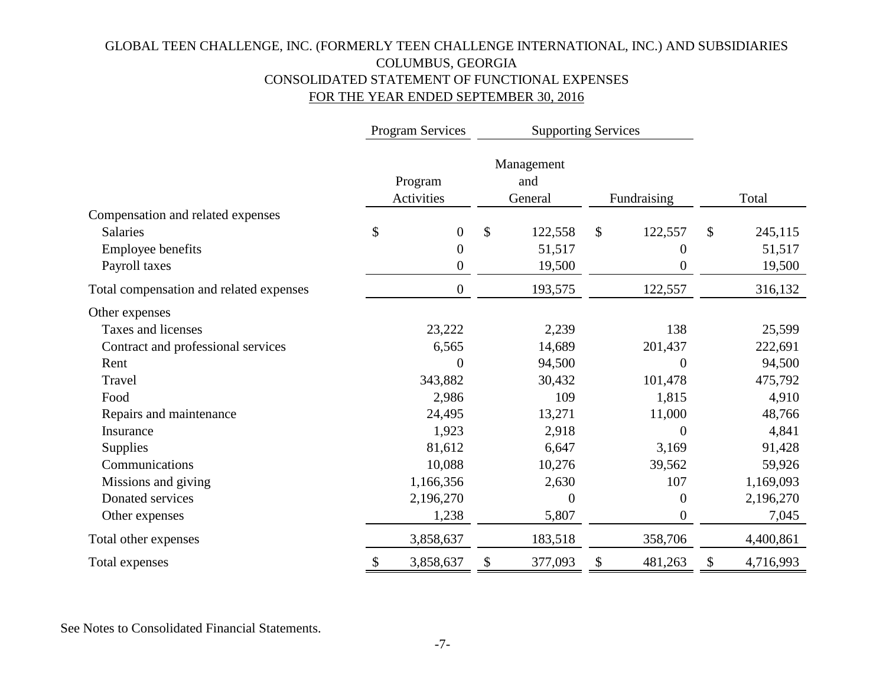# GLOBAL TEEN CHALLENGE, INC. (FORMERLY TEEN CHALLENGE INTERNATIONAL, INC.) AND SUBSIDIARIES COLUMBUS, GEORGIA CONSOLIDATED STATEMENT OF FUNCTIONAL EXPENSES FOR THE YEAR ENDED SEPTEMBER 30, 2016

|                                         | <b>Program Services</b> | <b>Supporting Services</b> |                              |                  |                 |
|-----------------------------------------|-------------------------|----------------------------|------------------------------|------------------|-----------------|
|                                         | Program<br>Activities   |                            | Management<br>and<br>General | Fundraising      | Total           |
| Compensation and related expenses       |                         |                            |                              |                  |                 |
| <b>Salaries</b>                         | \$<br>$\boldsymbol{0}$  | \$                         | 122,558                      | \$<br>122,557    | \$<br>245,115   |
| Employee benefits                       | $\overline{0}$          |                            | 51,517                       | $\overline{0}$   | 51,517          |
| Payroll taxes                           | $\overline{0}$          |                            | 19,500                       | $\theta$         | 19,500          |
| Total compensation and related expenses | $\boldsymbol{0}$        |                            | 193,575                      | 122,557          | 316,132         |
| Other expenses                          |                         |                            |                              |                  |                 |
| Taxes and licenses                      | 23,222                  |                            | 2,239                        | 138              | 25,599          |
| Contract and professional services      | 6,565                   |                            | 14,689                       | 201,437          | 222,691         |
| Rent                                    | $\theta$                |                            | 94,500                       | $\overline{0}$   | 94,500          |
| Travel                                  | 343,882                 |                            | 30,432                       | 101,478          | 475,792         |
| Food                                    | 2,986                   |                            | 109                          | 1,815            | 4,910           |
| Repairs and maintenance                 | 24,495                  |                            | 13,271                       | 11,000           | 48,766          |
| Insurance                               | 1,923                   |                            | 2,918                        | 0                | 4,841           |
| Supplies                                | 81,612                  |                            | 6,647                        | 3,169            | 91,428          |
| Communications                          | 10,088                  |                            | 10,276                       | 39,562           | 59,926          |
| Missions and giving                     | 1,166,356               |                            | 2,630                        | 107              | 1,169,093       |
| Donated services                        | 2,196,270               |                            | 0                            | $\theta$         | 2,196,270       |
| Other expenses                          | 1,238                   |                            | 5,807                        | $\boldsymbol{0}$ | 7,045           |
| Total other expenses                    | 3,858,637               |                            | 183,518                      | 358,706          | 4,400,861       |
| Total expenses                          | \$<br>3,858,637         | \$                         | 377,093                      | \$<br>481,263    | \$<br>4,716,993 |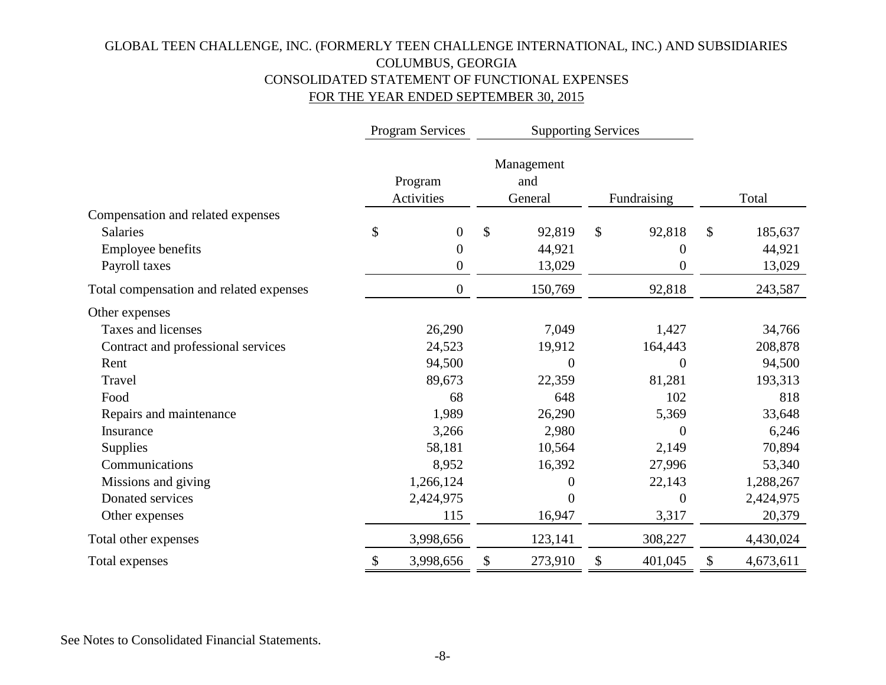# GLOBAL TEEN CHALLENGE, INC. (FORMERLY TEEN CHALLENGE INTERNATIONAL, INC.) AND SUBSIDIARIES COLUMBUS, GEORGIA CONSOLIDATED STATEMENT OF FUNCTIONAL EXPENSES FOR THE YEAR ENDED SEPTEMBER 30, 2015

|                                         | <b>Program Services</b> |    |                              | <b>Supporting Services</b> |                  |               |
|-----------------------------------------|-------------------------|----|------------------------------|----------------------------|------------------|---------------|
|                                         | Program<br>Activities   |    | Management<br>and<br>General |                            | Fundraising      | Total         |
| Compensation and related expenses       |                         |    |                              |                            |                  |               |
| <b>Salaries</b>                         | \$<br>$\overline{0}$    | \$ | 92,819                       | \$                         | 92,818           | \$<br>185,637 |
| Employee benefits                       | $\theta$                |    | 44,921                       |                            | $\overline{0}$   | 44,921        |
| Payroll taxes                           | $\overline{0}$          |    | 13,029                       |                            | $\boldsymbol{0}$ | 13,029        |
| Total compensation and related expenses | $\overline{0}$          |    | 150,769                      |                            | 92,818           | 243,587       |
| Other expenses                          |                         |    |                              |                            |                  |               |
| Taxes and licenses                      | 26,290                  |    | 7,049                        |                            | 1,427            | 34,766        |
| Contract and professional services      | 24,523                  |    | 19,912                       |                            | 164,443          | 208,878       |
| Rent                                    | 94,500                  |    | $\theta$                     |                            | $\overline{0}$   | 94,500        |
| Travel                                  | 89,673                  |    | 22,359                       |                            | 81,281           | 193,313       |
| Food                                    | 68                      |    | 648                          |                            | 102              | 818           |
| Repairs and maintenance                 | 1,989                   |    | 26,290                       |                            | 5,369            | 33,648        |
| Insurance                               | 3,266                   |    | 2,980                        |                            | 0                | 6,246         |
| <b>Supplies</b>                         | 58,181                  |    | 10,564                       |                            | 2,149            | 70,894        |
| Communications                          | 8,952                   |    | 16,392                       |                            | 27,996           | 53,340        |
| Missions and giving                     | 1,266,124               |    | 0                            |                            | 22,143           | 1,288,267     |
| Donated services                        | 2,424,975               |    | 0                            |                            | 0                | 2,424,975     |
| Other expenses                          | 115                     |    | 16,947                       |                            | 3,317            | 20,379        |
| Total other expenses                    | 3,998,656               |    | 123,141                      |                            | 308,227          | 4,430,024     |
| Total expenses                          | \$<br>3,998,656         | \$ | 273,910                      | \$                         | 401,045          | 4,673,611     |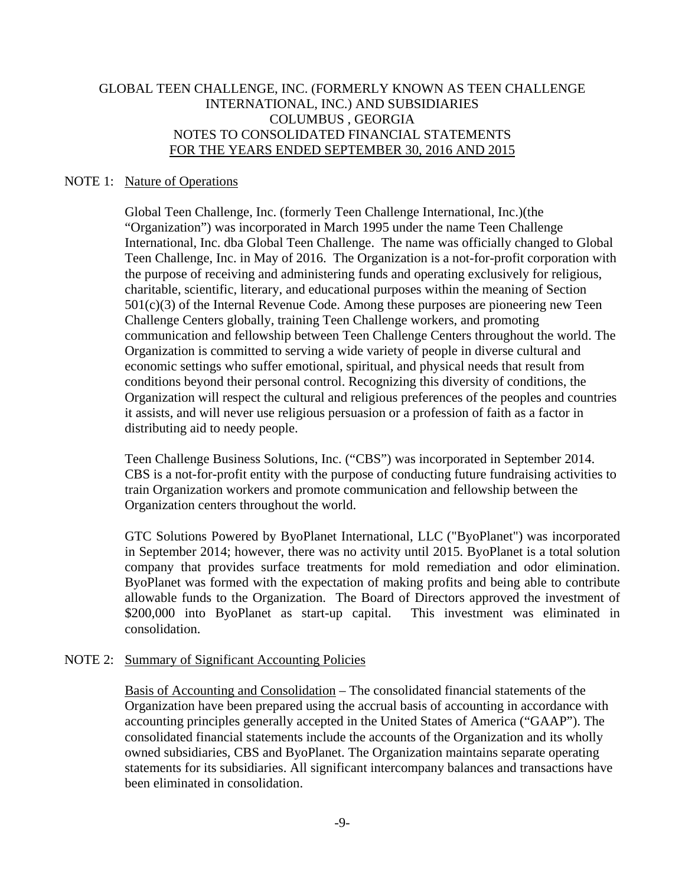#### NOTE 1: Nature of Operations

Global Teen Challenge, Inc. (formerly Teen Challenge International, Inc.)(the "Organization") was incorporated in March 1995 under the name Teen Challenge International, Inc. dba Global Teen Challenge. The name was officially changed to Global Teen Challenge, Inc. in May of 2016. The Organization is a not-for-profit corporation with the purpose of receiving and administering funds and operating exclusively for religious, charitable, scientific, literary, and educational purposes within the meaning of Section  $501(c)(3)$  of the Internal Revenue Code. Among these purposes are pioneering new Teen Challenge Centers globally, training Teen Challenge workers, and promoting communication and fellowship between Teen Challenge Centers throughout the world. The Organization is committed to serving a wide variety of people in diverse cultural and economic settings who suffer emotional, spiritual, and physical needs that result from conditions beyond their personal control. Recognizing this diversity of conditions, the Organization will respect the cultural and religious preferences of the peoples and countries it assists, and will never use religious persuasion or a profession of faith as a factor in distributing aid to needy people.

Teen Challenge Business Solutions, Inc. ("CBS") was incorporated in September 2014. CBS is a not-for-profit entity with the purpose of conducting future fundraising activities to train Organization workers and promote communication and fellowship between the Organization centers throughout the world.

GTC Solutions Powered by ByoPlanet International, LLC ("ByoPlanet") was incorporated in September 2014; however, there was no activity until 2015. ByoPlanet is a total solution company that provides surface treatments for mold remediation and odor elimination. ByoPlanet was formed with the expectation of making profits and being able to contribute allowable funds to the Organization. The Board of Directors approved the investment of \$200,000 into ByoPlanet as start-up capital. This investment was eliminated in consolidation.

### NOTE 2: Summary of Significant Accounting Policies

Basis of Accounting and Consolidation – The consolidated financial statements of the Organization have been prepared using the accrual basis of accounting in accordance with accounting principles generally accepted in the United States of America ("GAAP"). The consolidated financial statements include the accounts of the Organization and its wholly owned subsidiaries, CBS and ByoPlanet. The Organization maintains separate operating statements for its subsidiaries. All significant intercompany balances and transactions have been eliminated in consolidation.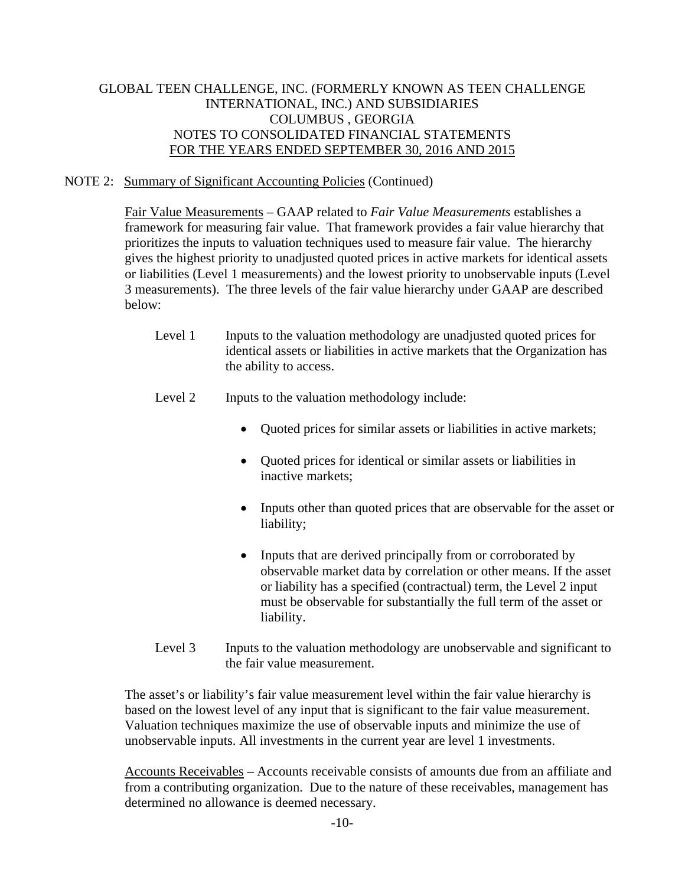### NOTE 2: Summary of Significant Accounting Policies (Continued)

Fair Value Measurements – GAAP related to *Fair Value Measurements* establishes a framework for measuring fair value. That framework provides a fair value hierarchy that prioritizes the inputs to valuation techniques used to measure fair value. The hierarchy gives the highest priority to unadjusted quoted prices in active markets for identical assets or liabilities (Level 1 measurements) and the lowest priority to unobservable inputs (Level 3 measurements). The three levels of the fair value hierarchy under GAAP are described below:

- Level 1 Inputs to the valuation methodology are unadjusted quoted prices for identical assets or liabilities in active markets that the Organization has the ability to access.
- Level 2 Inputs to the valuation methodology include:
	- Quoted prices for similar assets or liabilities in active markets;
	- Quoted prices for identical or similar assets or liabilities in inactive markets;
	- Inputs other than quoted prices that are observable for the asset or liability;
	- Inputs that are derived principally from or corroborated by observable market data by correlation or other means. If the asset or liability has a specified (contractual) term, the Level 2 input must be observable for substantially the full term of the asset or liability.
- Level 3 Inputs to the valuation methodology are unobservable and significant to the fair value measurement.

The asset's or liability's fair value measurement level within the fair value hierarchy is based on the lowest level of any input that is significant to the fair value measurement. Valuation techniques maximize the use of observable inputs and minimize the use of unobservable inputs. All investments in the current year are level 1 investments.

Accounts Receivables – Accounts receivable consists of amounts due from an affiliate and from a contributing organization. Due to the nature of these receivables, management has determined no allowance is deemed necessary.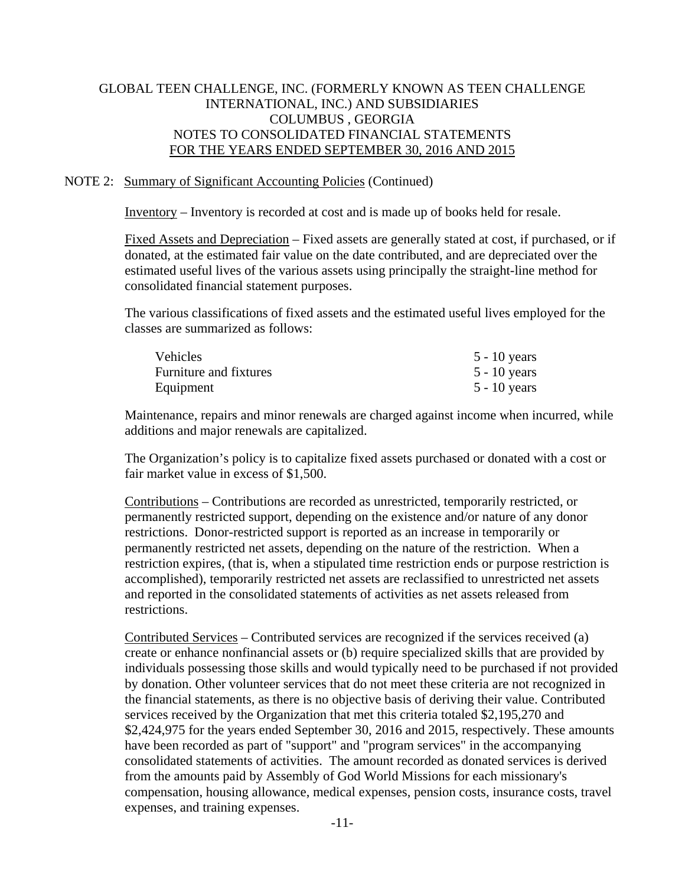### NOTE 2: Summary of Significant Accounting Policies (Continued)

Inventory – Inventory is recorded at cost and is made up of books held for resale.

Fixed Assets and Depreciation – Fixed assets are generally stated at cost, if purchased, or if donated, at the estimated fair value on the date contributed, and are depreciated over the estimated useful lives of the various assets using principally the straight-line method for consolidated financial statement purposes.

The various classifications of fixed assets and the estimated useful lives employed for the classes are summarized as follows:

| <b>Vehicles</b>        | $5 - 10$ years |
|------------------------|----------------|
| Furniture and fixtures | $5 - 10$ years |
| Equipment              | $5 - 10$ years |

Maintenance, repairs and minor renewals are charged against income when incurred, while additions and major renewals are capitalized.

The Organization's policy is to capitalize fixed assets purchased or donated with a cost or fair market value in excess of \$1,500.

Contributions – Contributions are recorded as unrestricted, temporarily restricted, or permanently restricted support, depending on the existence and/or nature of any donor restrictions. Donor-restricted support is reported as an increase in temporarily or permanently restricted net assets, depending on the nature of the restriction. When a restriction expires, (that is, when a stipulated time restriction ends or purpose restriction is accomplished), temporarily restricted net assets are reclassified to unrestricted net assets and reported in the consolidated statements of activities as net assets released from restrictions.

Contributed Services – Contributed services are recognized if the services received (a) create or enhance nonfinancial assets or (b) require specialized skills that are provided by individuals possessing those skills and would typically need to be purchased if not provided by donation. Other volunteer services that do not meet these criteria are not recognized in the financial statements, as there is no objective basis of deriving their value. Contributed services received by the Organization that met this criteria totaled \$2,195,270 and \$2,424,975 for the years ended September 30, 2016 and 2015, respectively. These amounts have been recorded as part of "support" and "program services" in the accompanying consolidated statements of activities. The amount recorded as donated services is derived from the amounts paid by Assembly of God World Missions for each missionary's compensation, housing allowance, medical expenses, pension costs, insurance costs, travel expenses, and training expenses.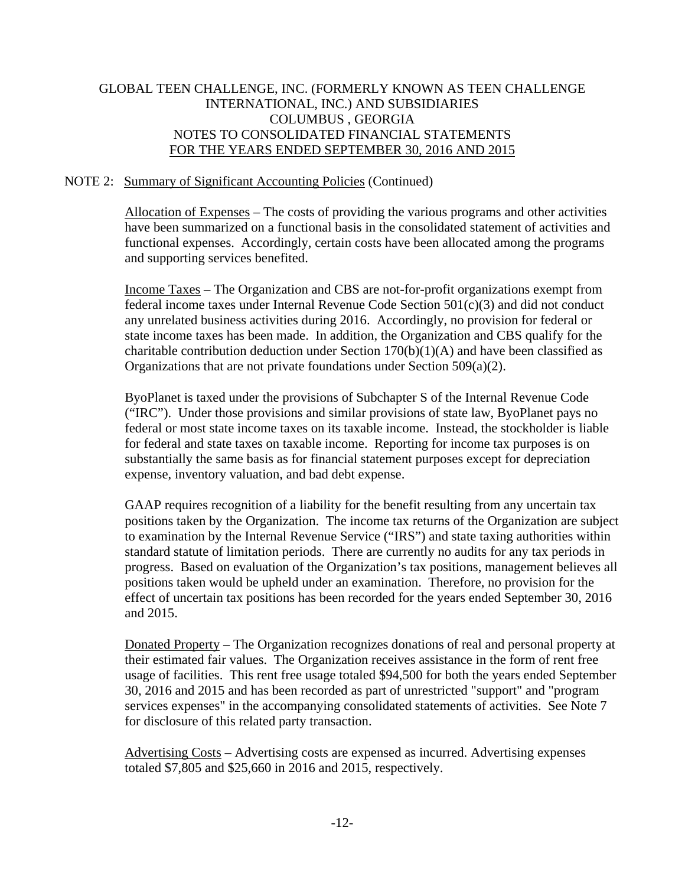## NOTE 2: Summary of Significant Accounting Policies (Continued)

Allocation of Expenses – The costs of providing the various programs and other activities have been summarized on a functional basis in the consolidated statement of activities and functional expenses. Accordingly, certain costs have been allocated among the programs and supporting services benefited.

Income Taxes – The Organization and CBS are not-for-profit organizations exempt from federal income taxes under Internal Revenue Code Section 501(c)(3) and did not conduct any unrelated business activities during 2016. Accordingly, no provision for federal or state income taxes has been made. In addition, the Organization and CBS qualify for the charitable contribution deduction under Section  $170(b)(1)(A)$  and have been classified as Organizations that are not private foundations under Section 509(a)(2).

ByoPlanet is taxed under the provisions of Subchapter S of the Internal Revenue Code ("IRC"). Under those provisions and similar provisions of state law, ByoPlanet pays no federal or most state income taxes on its taxable income. Instead, the stockholder is liable for federal and state taxes on taxable income. Reporting for income tax purposes is on substantially the same basis as for financial statement purposes except for depreciation expense, inventory valuation, and bad debt expense.

GAAP requires recognition of a liability for the benefit resulting from any uncertain tax positions taken by the Organization. The income tax returns of the Organization are subject to examination by the Internal Revenue Service ("IRS") and state taxing authorities within standard statute of limitation periods. There are currently no audits for any tax periods in progress. Based on evaluation of the Organization's tax positions, management believes all positions taken would be upheld under an examination. Therefore, no provision for the effect of uncertain tax positions has been recorded for the years ended September 30, 2016 and 2015.

Donated Property – The Organization recognizes donations of real and personal property at their estimated fair values. The Organization receives assistance in the form of rent free usage of facilities. This rent free usage totaled \$94,500 for both the years ended September 30, 2016 and 2015 and has been recorded as part of unrestricted "support" and "program services expenses" in the accompanying consolidated statements of activities. See Note 7 for disclosure of this related party transaction.

Advertising Costs – Advertising costs are expensed as incurred. Advertising expenses totaled \$7,805 and \$25,660 in 2016 and 2015, respectively.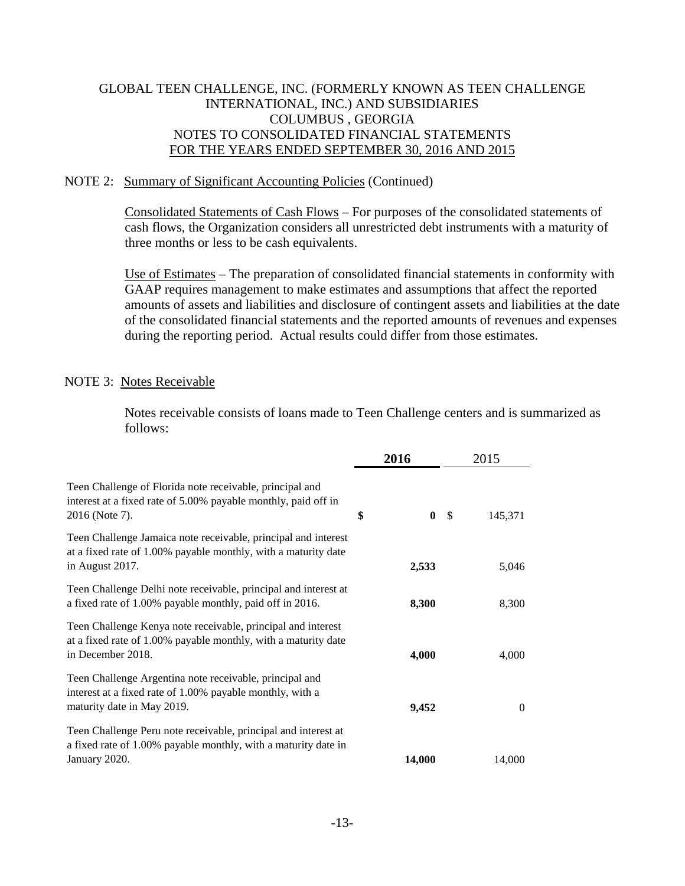### NOTE 2: Summary of Significant Accounting Policies (Continued)

Consolidated Statements of Cash Flows – For purposes of the consolidated statements of cash flows, the Organization considers all unrestricted debt instruments with a maturity of three months or less to be cash equivalents.

Use of Estimates – The preparation of consolidated financial statements in conformity with GAAP requires management to make estimates and assumptions that affect the reported amounts of assets and liabilities and disclosure of contingent assets and liabilities at the date of the consolidated financial statements and the reported amounts of revenues and expenses during the reporting period. Actual results could differ from those estimates.

## NOTE 3: Notes Receivable

Notes receivable consists of loans made to Teen Challenge centers and is summarized as follows:

|                                                                                                                                                     | 2016               |     | 2015     |
|-----------------------------------------------------------------------------------------------------------------------------------------------------|--------------------|-----|----------|
| Teen Challenge of Florida note receivable, principal and<br>interest at a fixed rate of 5.00% payable monthly, paid off in<br>2016 (Note 7).        | \$<br>$\mathbf{0}$ | -\$ | 145,371  |
| Teen Challenge Jamaica note receivable, principal and interest<br>at a fixed rate of 1.00% payable monthly, with a maturity date<br>in August 2017. | 2,533              |     | 5,046    |
| Teen Challenge Delhi note receivable, principal and interest at<br>a fixed rate of 1.00% payable monthly, paid off in 2016.                         | 8,300              |     | 8,300    |
| Teen Challenge Kenya note receivable, principal and interest<br>at a fixed rate of 1.00% payable monthly, with a maturity date<br>in December 2018. | 4,000              |     | 4,000    |
| Teen Challenge Argentina note receivable, principal and<br>interest at a fixed rate of 1.00% payable monthly, with a<br>maturity date in May 2019.  | 9,452              |     | $\Omega$ |
| Teen Challenge Peru note receivable, principal and interest at<br>a fixed rate of 1.00% payable monthly, with a maturity date in<br>January 2020.   | 14,000             |     | 14,000   |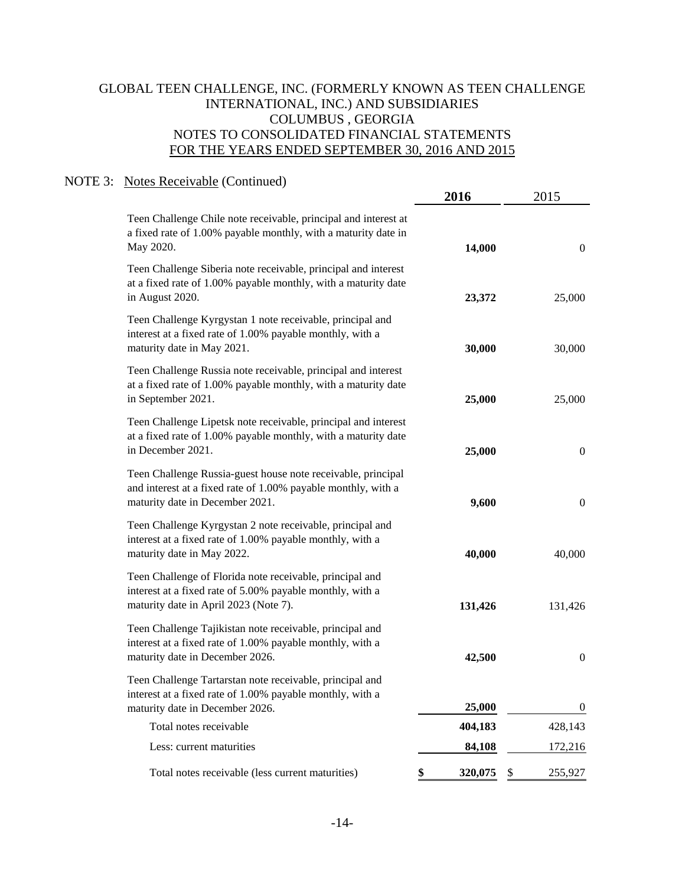# NOTE 3: Notes Receivable (Continued)

|                                                                                                                                                                  | 2016          | 2015             |
|------------------------------------------------------------------------------------------------------------------------------------------------------------------|---------------|------------------|
| Teen Challenge Chile note receivable, principal and interest at<br>a fixed rate of 1.00% payable monthly, with a maturity date in<br>May 2020.                   | 14,000        | $\theta$         |
| Teen Challenge Siberia note receivable, principal and interest<br>at a fixed rate of 1.00% payable monthly, with a maturity date<br>in August 2020.              | 23,372        | 25,000           |
| Teen Challenge Kyrgystan 1 note receivable, principal and<br>interest at a fixed rate of 1.00% payable monthly, with a<br>maturity date in May 2021.             | 30,000        | 30,000           |
| Teen Challenge Russia note receivable, principal and interest<br>at a fixed rate of 1.00% payable monthly, with a maturity date<br>in September 2021.            | 25,000        | 25,000           |
| Teen Challenge Lipetsk note receivable, principal and interest<br>at a fixed rate of 1.00% payable monthly, with a maturity date<br>in December 2021.            | 25,000        | $\boldsymbol{0}$ |
| Teen Challenge Russia-guest house note receivable, principal<br>and interest at a fixed rate of 1.00% payable monthly, with a<br>maturity date in December 2021. | 9,600         | $\boldsymbol{0}$ |
| Teen Challenge Kyrgystan 2 note receivable, principal and<br>interest at a fixed rate of 1.00% payable monthly, with a<br>maturity date in May 2022.             | 40,000        | 40,000           |
| Teen Challenge of Florida note receivable, principal and<br>interest at a fixed rate of 5.00% payable monthly, with a<br>maturity date in April 2023 (Note 7).   | 131,426       | 131,426          |
| Teen Challenge Tajikistan note receivable, principal and<br>interest at a fixed rate of 1.00% payable monthly, with a<br>maturity date in December 2026.         | 42,500        | $\boldsymbol{0}$ |
| Teen Challenge Tartarstan note receivable, principal and<br>interest at a fixed rate of 1.00% payable monthly, with a<br>maturity date in December 2026.         | 25,000        | $\boldsymbol{0}$ |
| Total notes receivable                                                                                                                                           | 404,183       | 428,143          |
| Less: current maturities                                                                                                                                         | 84,108        | 172,216          |
| Total notes receivable (less current maturities)                                                                                                                 | \$<br>320,075 | \$<br>255,927    |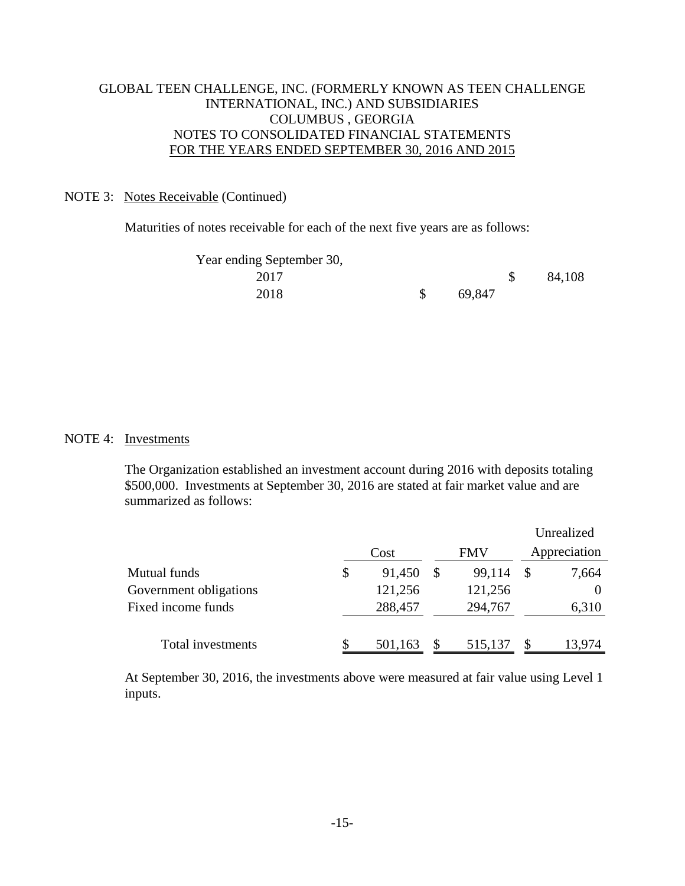### NOTE 3: Notes Receivable (Continued)

Maturities of notes receivable for each of the next five years are as follows:

| Year ending September 30, |        |        |
|---------------------------|--------|--------|
| 2017                      |        | 84,108 |
| 2018                      | 69,847 |        |

### NOTE 4: Investments

The Organization established an investment account during 2016 with deposits totaling \$500,000. Investments at September 30, 2016 are stated at fair market value and are summarized as follows:

|                        |              |          |            |          | Unrealized   |
|------------------------|--------------|----------|------------|----------|--------------|
|                        | Cost         |          | <b>FMV</b> |          | Appreciation |
| Mutual funds           | \$<br>91,450 |          | 99,114     |          | 7,664        |
| Government obligations | 121,256      |          | 121,256    |          | $\theta$     |
| Fixed income funds     | 288,457      |          | 294,767    |          | 6,310        |
| Total investments      | 501,163      | <b>S</b> | 515,137    | <b>S</b> | 13.974       |

At September 30, 2016, the investments above were measured at fair value using Level 1 inputs.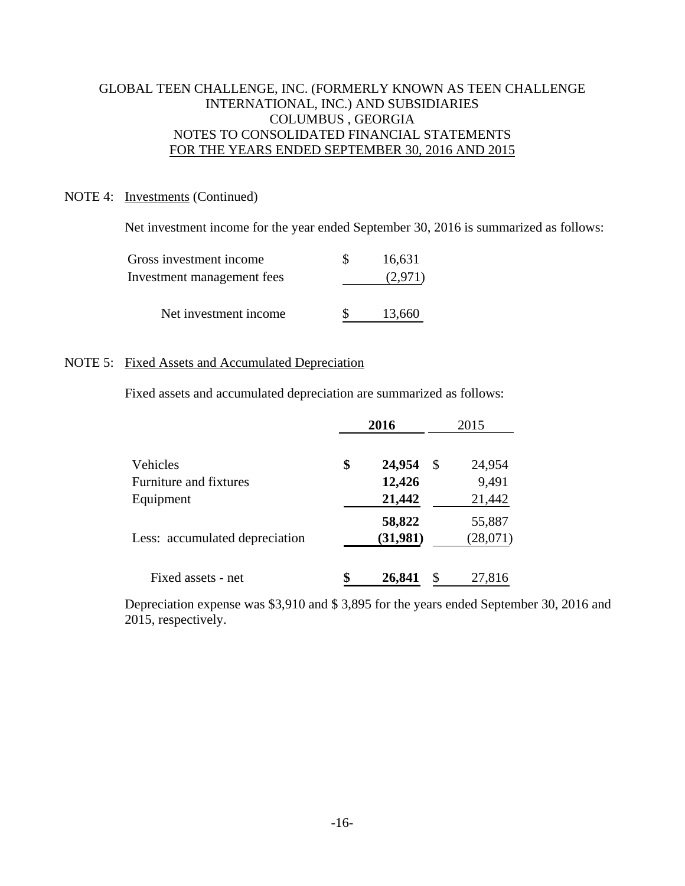#### NOTE 4: Investments (Continued)

Net investment income for the year ended September 30, 2016 is summarized as follows:

| Gross investment income    | æ, | 16,631  |
|----------------------------|----|---------|
| Investment management fees |    | (2,971) |
| Net investment income      |    | 13,660  |

# NOTE 5: Fixed Assets and Accumulated Depreciation

Fixed assets and accumulated depreciation are summarized as follows:

|                                | 2016         | 2015 |          |  |
|--------------------------------|--------------|------|----------|--|
| Vehicles                       | \$<br>24,954 | \$   | 24,954   |  |
| <b>Furniture and fixtures</b>  | 12,426       |      | 9,491    |  |
| Equipment                      | 21,442       |      | 21,442   |  |
|                                | 58,822       |      | 55,887   |  |
| Less: accumulated depreciation | (31,981)     |      | (28,071) |  |
| Fixed assets - net             | 26,841       | \$   | 27,816   |  |

Depreciation expense was \$3,910 and \$ 3,895 for the years ended September 30, 2016 and 2015, respectively.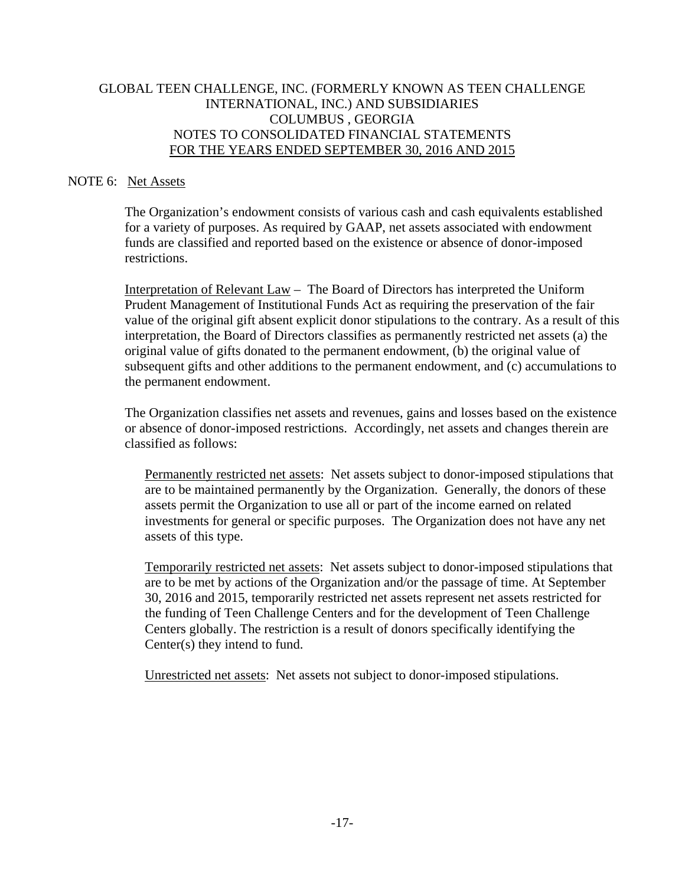#### NOTE 6: Net Assets

The Organization's endowment consists of various cash and cash equivalents established for a variety of purposes. As required by GAAP, net assets associated with endowment funds are classified and reported based on the existence or absence of donor-imposed restrictions.

Interpretation of Relevant Law – The Board of Directors has interpreted the Uniform Prudent Management of Institutional Funds Act as requiring the preservation of the fair value of the original gift absent explicit donor stipulations to the contrary. As a result of this interpretation, the Board of Directors classifies as permanently restricted net assets (a) the original value of gifts donated to the permanent endowment, (b) the original value of subsequent gifts and other additions to the permanent endowment, and (c) accumulations to the permanent endowment.

The Organization classifies net assets and revenues, gains and losses based on the existence or absence of donor-imposed restrictions. Accordingly, net assets and changes therein are classified as follows:

Permanently restricted net assets: Net assets subject to donor-imposed stipulations that are to be maintained permanently by the Organization. Generally, the donors of these assets permit the Organization to use all or part of the income earned on related investments for general or specific purposes. The Organization does not have any net assets of this type.

Temporarily restricted net assets: Net assets subject to donor-imposed stipulations that are to be met by actions of the Organization and/or the passage of time. At September 30, 2016 and 2015, temporarily restricted net assets represent net assets restricted for the funding of Teen Challenge Centers and for the development of Teen Challenge Centers globally. The restriction is a result of donors specifically identifying the Center(s) they intend to fund.

Unrestricted net assets: Net assets not subject to donor-imposed stipulations.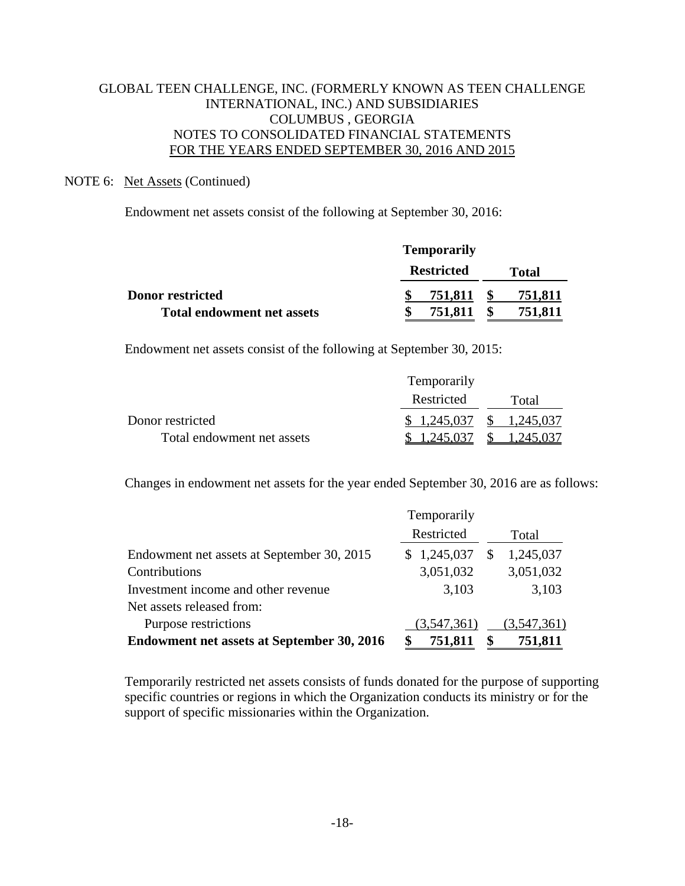### NOTE 6: Net Assets (Continued)

Endowment net assets consist of the following at September 30, 2016:

|                                   | <b>Temporarily</b> |         |              |         |
|-----------------------------------|--------------------|---------|--------------|---------|
|                                   | <b>Restricted</b>  |         | <b>Total</b> |         |
| <b>Donor restricted</b>           |                    | 751,811 |              | 751,811 |
| <b>Total endowment net assets</b> |                    | 751.811 |              | 751.811 |

Endowment net assets consist of the following at September 30, 2015:

|                            | Temporarily |             |  |
|----------------------------|-------------|-------------|--|
|                            | Restricted  | Total       |  |
| Donor restricted           | \$1,245,037 | \$1,245,037 |  |
| Total endowment net assets | \$1.245.037 | 1.245.037   |  |

Changes in endowment net assets for the year ended September 30, 2016 are as follows:

|                                                   | Temporarily |             |  |
|---------------------------------------------------|-------------|-------------|--|
|                                                   | Restricted  | Total       |  |
| Endowment net assets at September 30, 2015        | \$1,245,037 | 1,245,037   |  |
| Contributions                                     | 3,051,032   | 3,051,032   |  |
| Investment income and other revenue               | 3,103       | 3,103       |  |
| Net assets released from:                         |             |             |  |
| Purpose restrictions                              | (3,547,361) | (3,547,361) |  |
| <b>Endowment net assets at September 30, 2016</b> | 751,811     | 751,811     |  |

Temporarily restricted net assets consists of funds donated for the purpose of supporting specific countries or regions in which the Organization conducts its ministry or for the support of specific missionaries within the Organization.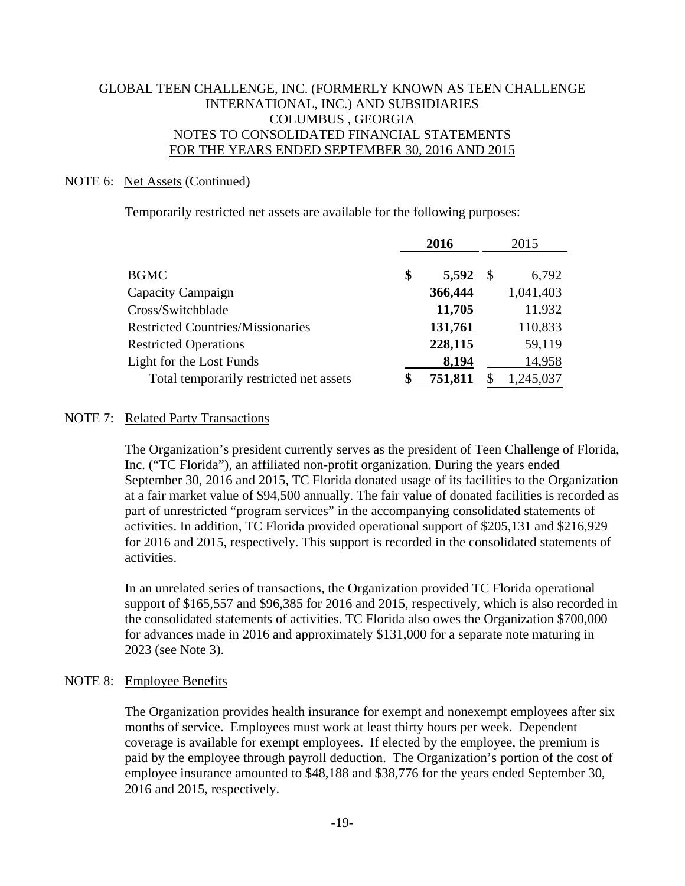### NOTE 6: Net Assets (Continued)

Temporarily restricted net assets are available for the following purposes:

|                                          | 2016 |         |    | 2015      |  |
|------------------------------------------|------|---------|----|-----------|--|
| <b>BGMC</b>                              | \$   | 5,592   | -S | 6,792     |  |
| Capacity Campaign                        |      | 366,444 |    | 1,041,403 |  |
| Cross/Switchblade                        |      | 11,705  |    | 11,932    |  |
| <b>Restricted Countries/Missionaries</b> |      | 131,761 |    | 110,833   |  |
| <b>Restricted Operations</b>             |      | 228,115 |    | 59,119    |  |
| Light for the Lost Funds                 |      | 8,194   |    | 14,958    |  |
| Total temporarily restricted net assets  | \$   | 751,811 |    | 1,245,037 |  |

### NOTE 7: Related Party Transactions

The Organization's president currently serves as the president of Teen Challenge of Florida, Inc. ("TC Florida"), an affiliated non-profit organization. During the years ended September 30, 2016 and 2015, TC Florida donated usage of its facilities to the Organization at a fair market value of \$94,500 annually. The fair value of donated facilities is recorded as part of unrestricted "program services" in the accompanying consolidated statements of activities. In addition, TC Florida provided operational support of \$205,131 and \$216,929 for 2016 and 2015, respectively. This support is recorded in the consolidated statements of activities.

In an unrelated series of transactions, the Organization provided TC Florida operational support of \$165,557 and \$96,385 for 2016 and 2015, respectively, which is also recorded in the consolidated statements of activities. TC Florida also owes the Organization \$700,000 for advances made in 2016 and approximately \$131,000 for a separate note maturing in 2023 (see Note 3).

### NOTE 8: Employee Benefits

 The Organization provides health insurance for exempt and nonexempt employees after six months of service. Employees must work at least thirty hours per week. Dependent coverage is available for exempt employees. If elected by the employee, the premium is paid by the employee through payroll deduction. The Organization's portion of the cost of employee insurance amounted to \$48,188 and \$38,776 for the years ended September 30, 2016 and 2015, respectively.